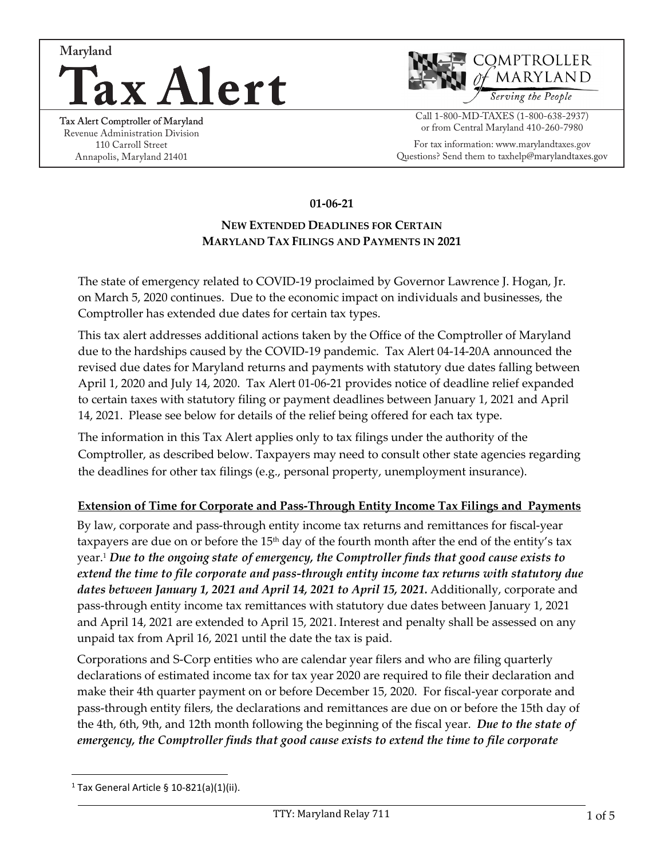



Revenue Administration Division 110 Carroll Street Annapolis, Maryland 21401

#### Call 1-800-MD-TAXES (1-800-638-2937) or from Central Maryland 410-260-7980

For tax information: www.marylandtaxes.gov Questions? Send them to taxhelp@marylandtaxes.gov

## **01-06-21**

## **NEW EXTENDED DEADLINES FOR CERTAIN MARYLAND TAX FILINGS AND PAYMENTS IN 2021**

The state of emergency related to COVID-19 proclaimed by Governor Lawrence J. Hogan, Jr. on March 5, 2020 continues. Due to the economic impact on individuals and businesses, the Comptroller has extended due dates for certain tax types.

This tax alert addresses additional actions taken by the Office of the Comptroller of Maryland due to the hardships caused by the COVID-19 pandemic. Tax Alert 04-14-20A announced the revised due dates for Maryland returns and payments with statutory due dates falling between April 1, 2020 and July 14, 2020. Tax Alert 01-06-21 provides notice of deadline relief expanded to certain taxes with statutory filing or payment deadlines between January 1, 2021 and April 14, 2021. Please see below for details of the relief being offered for each tax type.

The information in this Tax Alert applies only to tax filings under the authority of the Comptroller, as described below. Taxpayers may need to consult other state agencies regarding the deadlines for other tax filings (e.g., personal property, unemployment insurance).

#### **Extension of Time for Corporate and Pass-Through Entity Income Tax Filings and Payments**

By law, corporate and pass-through entity income tax returns and remittances for fiscal-year taxpayers are due on or before the  $15<sup>th</sup>$  day of the fourth month after the end of the entity's tax year.[1](#page-0-0) *Due to the ongoing state of emergency, the Comptroller finds that good cause exists to extend the time to file corporate and pass-through entity income tax returns with statutory due dates between January 1, 2021 and April 14, 2021 to April 15, 2021.* Additionally, corporate and pass-through entity income tax remittances with statutory due dates between January 1, 2021 and April 14, 2021 are extended to April 15, 2021. Interest and penalty shall be assessed on any unpaid tax from April 16, 2021 until the date the tax is paid.

Corporations and S-Corp entities who are calendar year filers and who are filing quarterly declarations of estimated income tax for tax year 2020 are required to file their declaration and make their 4th quarter payment on or before December 15, 2020. For fiscal-year corporate and pass-through entity filers, the declarations and remittances are due on or before the 15th day of the 4th, 6th, 9th, and 12th month following the beginning of the fiscal year. *Due to the state of emergency, the Comptroller finds that good cause exists to extend the time to file corporate*

<span id="page-0-0"></span><sup>&</sup>lt;sup>1</sup> Tax General Article § 10-821(a)(1)(ii).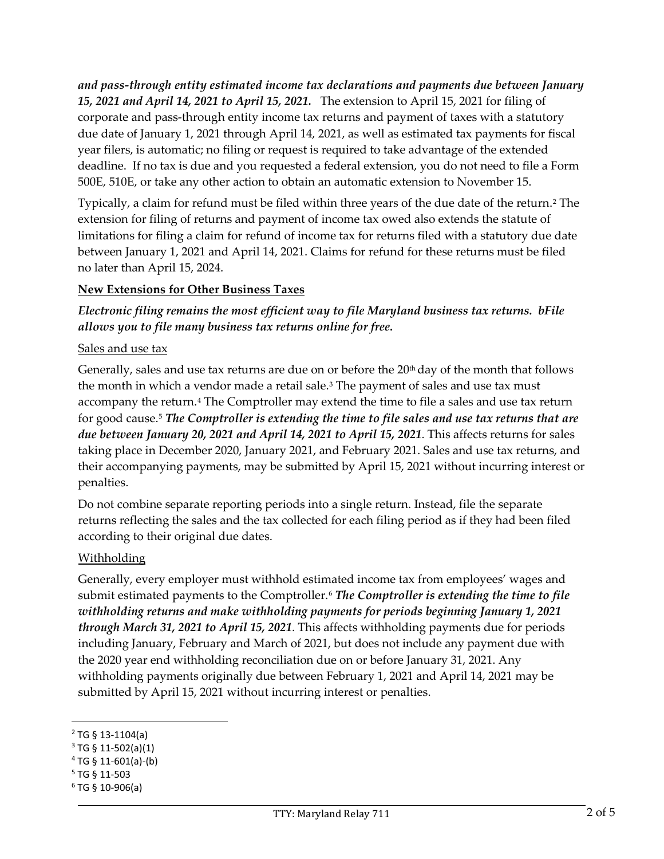*and pass-through entity estimated income tax declarations and payments due between January 15, 2021 and April 14, 2021 to April 15, 2021.* The extension to April 15, 2021 for filing of corporate and pass-through entity income tax returns and payment of taxes with a statutory due date of January 1, 2021 through April 14, 2021, as well as estimated tax payments for fiscal year filers, is automatic; no filing or request is required to take advantage of the extended deadline. If no tax is due and you requested a federal extension, you do not need to file a Form 500E, 510E, or take any other action to obtain an automatic extension to November 15.

Typically, a claim for refund must be filed within three years of the due date of the return.<sup>[2](#page-1-0)</sup> The extension for filing of returns and payment of income tax owed also extends the statute of limitations for filing a claim for refund of income tax for returns filed with a statutory due date between January 1, 2021 and April 14, 2021. Claims for refund for these returns must be filed no later than April 15, 2024.

# **New Extensions for Other Business Taxes**

# *Electronic filing remains the most efficient way to file Maryland business tax returns. bFile allows you to file many business tax returns online for free.*

#### Sales and use tax

Generally, sales and use tax returns are due on or before the 20<sup>th</sup> day of the month that follows the month in which a vendor made a retail sale.<sup>[3](#page-1-1)</sup> The payment of sales and use tax must accompany the return.<sup>[4](#page-1-2)</sup> The Comptroller may extend the time to file a sales and use tax return for good cause.[5](#page-1-3) *The Comptroller is extending the time to file sales and use tax returns that are due between January 20, 2021 and April 14, 2021 to April 15, 2021*. This affects returns for sales taking place in December 2020, January 2021, and February 2021. Sales and use tax returns, and their accompanying payments, may be submitted by April 15, 2021 without incurring interest or penalties.

Do not combine separate reporting periods into a single return. Instead, file the separate returns reflecting the sales and the tax collected for each filing period as if they had been filed according to their original due dates.

## Withholding

Generally, every employer must withhold estimated income tax from employees' wages and submit estimated payments to the Comptroller.[6](#page-1-4) *The Comptroller is extending the time to file withholding returns and make withholding payments for periods beginning January 1, 2021 through March 31, 2021 to April 15, 2021*. This affects withholding payments due for periods including January, February and March of 2021, but does not include any payment due with the 2020 year end withholding reconciliation due on or before January 31, 2021. Any withholding payments originally due between February 1, 2021 and April 14, 2021 may be submitted by April 15, 2021 without incurring interest or penalties.

<span id="page-1-0"></span> $2$  TG § 13-1104(a)

<span id="page-1-1"></span> $3$  TG § 11-502(a)(1)

<span id="page-1-2"></span> $4$  TG § 11-601(a)-(b)

<span id="page-1-3"></span><sup>5</sup> TG § 11-503

<span id="page-1-4"></span> $6$  TG § 10-906(a)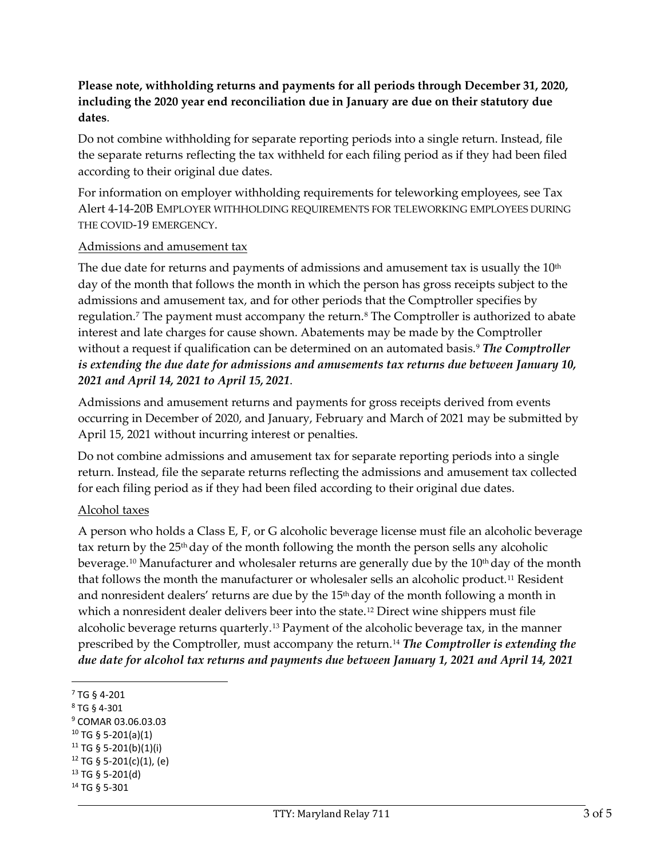# **Please note, withholding returns and payments for all periods through December 31, 2020, including the 2020 year end reconciliation due in January are due on their statutory due dates**.

Do not combine withholding for separate reporting periods into a single return. Instead, file the separate returns reflecting the tax withheld for each filing period as if they had been filed according to their original due dates.

For information on employer withholding requirements for teleworking employees, see Tax Alert 4-14-20B EMPLOYER WITHHOLDING REQUIREMENTS FOR TELEWORKING EMPLOYEES DURING THE COVID-19 EMERGENCY.

#### Admissions and amusement tax

The due date for returns and payments of admissions and amusement tax is usually the  $10<sup>th</sup>$ day of the month that follows the month in which the person has gross receipts subject to the admissions and amusement tax, and for other periods that the Comptroller specifies by regulation.<sup>[7](#page-2-0)</sup> The payment must accompany the return.<sup>[8](#page-2-1)</sup> The Comptroller is authorized to abate interest and late charges for cause shown. Abatements may be made by the Comptroller without a request if qualification can be determined on an automated basis.<sup>[9](#page-2-2)</sup> *The Comptroller is extending the due date for admissions and amusements tax returns due between January 10, 2021 and April 14, 2021 to April 15, 2021*.

Admissions and amusement returns and payments for gross receipts derived from events occurring in December of 2020, and January, February and March of 2021 may be submitted by April 15, 2021 without incurring interest or penalties.

Do not combine admissions and amusement tax for separate reporting periods into a single return. Instead, file the separate returns reflecting the admissions and amusement tax collected for each filing period as if they had been filed according to their original due dates.

## Alcohol taxes

A person who holds a Class E, F, or G alcoholic beverage license must file an alcoholic beverage tax return by the  $25<sup>th</sup>$  day of the month following the month the person sells any alcoholic beverage.<sup>[10](#page-2-3)</sup> Manufacturer and wholesaler returns are generally due by the 10<sup>th</sup> day of the month that follows the month the manufacturer or wholesaler sells an alcoholic product.[11](#page-2-4) Resident and nonresident dealers' returns are due by the  $15<sup>th</sup>$  day of the month following a month in which a nonresident dealer delivers beer into the state.<sup>[12](#page-2-5)</sup> Direct wine shippers must file alcoholic beverage returns quarterly.<sup>[13](#page-2-6)</sup> Payment of the alcoholic beverage tax, in the manner prescribed by the Comptroller, must accompany the return.[14](#page-2-7) *The Comptroller is extending the due date for alcohol tax returns and payments due between January 1, 2021 and April 14, 2021*

<span id="page-2-0"></span><sup>7</sup> TG § 4-201

<span id="page-2-2"></span><span id="page-2-1"></span> $8$  TG § 4-301<br> $9$  COMAR 03.06.03.03

<span id="page-2-3"></span> $10$  TG § 5-201(a)(1)

<span id="page-2-4"></span> $11$  TG § 5-201(b)(1)(i)

<span id="page-2-5"></span><sup>12</sup> TG § 5-201(c)(1), (e)

<span id="page-2-6"></span><sup>13</sup> TG § 5-201(d)

<span id="page-2-7"></span><sup>14</sup> TG § 5-301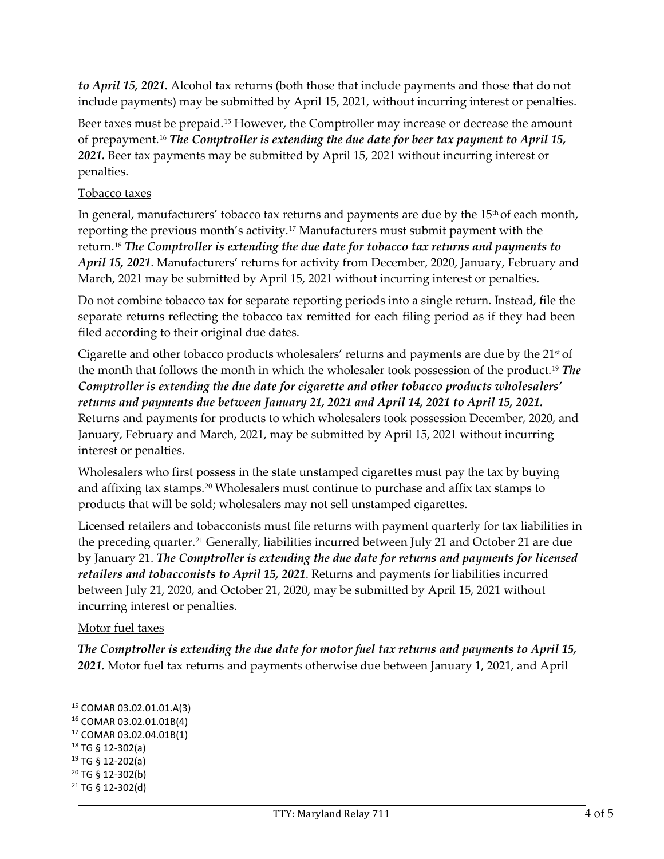*to April 15, 2021.* Alcohol tax returns (both those that include payments and those that do not include payments) may be submitted by April 15, 2021, without incurring interest or penalties.

Beer taxes must be prepaid.[15](#page-3-0) However, the Comptroller may increase or decrease the amount of prepayment.[16](#page-3-1) *The Comptroller is extending the due date for beer tax payment to April 15, 2021.* Beer tax payments may be submitted by April 15, 2021 without incurring interest or penalties.

# Tobacco taxes

In general, manufacturers' tobacco tax returns and payments are due by the 15th of each month, reporting the previous month's activity.[17](#page-3-2) Manufacturers must submit payment with the return.[18](#page-3-3) *The Comptroller is extending the due date for tobacco tax returns and payments to April 15, 2021*. Manufacturers' returns for activity from December, 2020, January, February and March, 2021 may be submitted by April 15, 2021 without incurring interest or penalties.

Do not combine tobacco tax for separate reporting periods into a single return. Instead, file the separate returns reflecting the tobacco tax remitted for each filing period as if they had been filed according to their original due dates.

Cigarette and other tobacco products wholesalers' returns and payments are due by the  $21<sup>st</sup>$  of the month that follows the month in which the wholesaler took possession of the product.[19](#page-3-4) *The Comptroller is extending the due date for cigarette and other tobacco products wholesalers' returns and payments due between January 21, 2021 and April 14, 2021 to April 15, 2021.*  Returns and payments for products to which wholesalers took possession December, 2020, and January, February and March, 2021, may be submitted by April 15, 2021 without incurring interest or penalties.

Wholesalers who first possess in the state unstamped cigarettes must pay the tax by buying and affixing tax stamps.[20](#page-3-5) Wholesalers must continue to purchase and affix tax stamps to products that will be sold; wholesalers may not sell unstamped cigarettes.

Licensed retailers and tobacconists must file returns with payment quarterly for tax liabilities in the preceding quarter.<sup>[21](#page-3-6)</sup> Generally, liabilities incurred between July 21 and October 21 are due by January 21. *The Comptroller is extending the due date for returns and payments for licensed retailers and tobacconists to April 15, 2021*. Returns and payments for liabilities incurred between July 21, 2020, and October 21, 2020, may be submitted by April 15, 2021 without incurring interest or penalties.

## Motor fuel taxes

*The Comptroller is extending the due date for motor fuel tax returns and payments to April 15, 2021.* Motor fuel tax returns and payments otherwise due between January 1, 2021, and April

<span id="page-3-0"></span><sup>15</sup> COMAR 03.02.01.01.A(3)

<span id="page-3-1"></span><sup>16</sup> COMAR 03.02.01.01B(4)

<span id="page-3-2"></span><sup>17</sup> COMAR 03.02.04.01B(1)

<span id="page-3-3"></span> $18$  TG § 12-302(a)

<span id="page-3-4"></span><sup>19</sup> TG § 12-202(a)

<span id="page-3-5"></span><sup>20</sup> TG § 12-302(b)

<span id="page-3-6"></span> $21$  TG § 12-302(d)